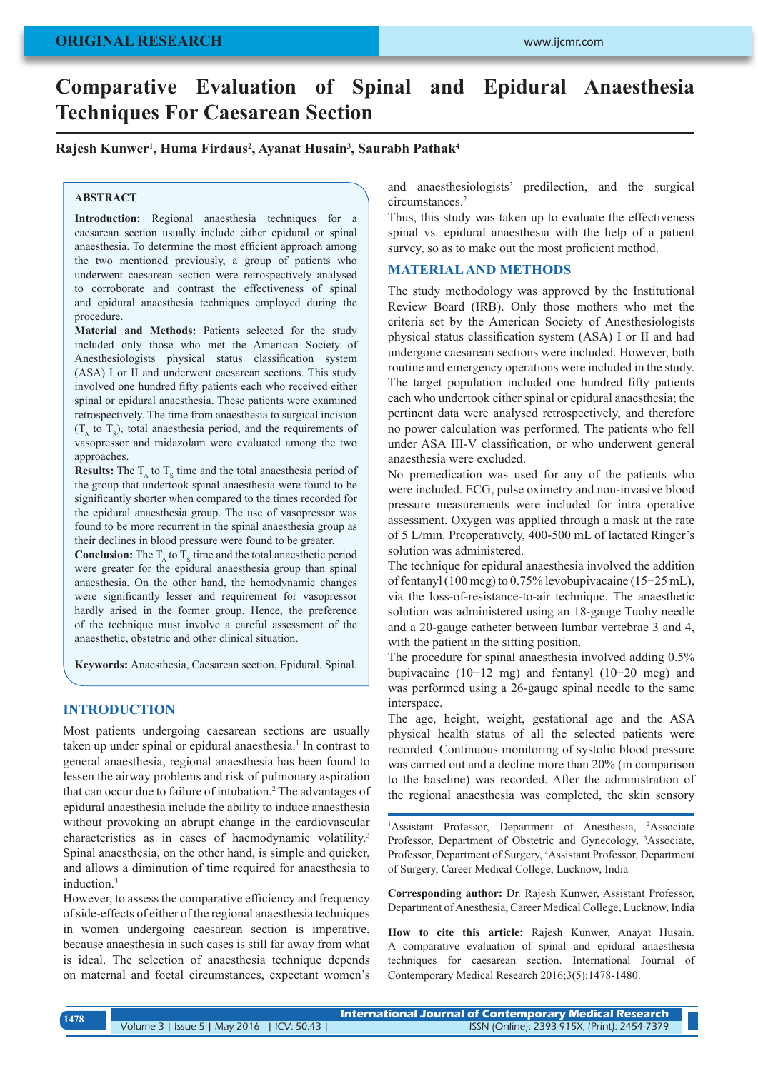# **Comparative Evaluation of Spinal and Epidural Anaesthesia Techniques For Caesarean Section**

# **Rajesh Kunwer1 , Huma Firdaus2 , Ayanat Husain3 , Saurabh Pathak4**

# **ABSTRACT**

**Introduction:** Regional anaesthesia techniques for a caesarean section usually include either epidural or spinal anaesthesia. To determine the most efficient approach among the two mentioned previously, a group of patients who underwent caesarean section were retrospectively analysed to corroborate and contrast the effectiveness of spinal and epidural anaesthesia techniques employed during the procedure.

**Material and Methods:** Patients selected for the study included only those who met the American Society of Anesthesiologists physical status classification system (ASA) I or II and underwent caesarean sections. This study involved one hundred fifty patients each who received either spinal or epidural anaesthesia. These patients were examined retrospectively. The time from anaesthesia to surgical incision  $(T_A \text{ to } T_S)$ , total anaesthesia period, and the requirements of vasopressor and midazolam were evaluated among the two approaches.

**Results:** The  $T_A$  to  $T_S$  time and the total anaesthesia period of the group that undertook spinal anaesthesia were found to be significantly shorter when compared to the times recorded for the epidural anaesthesia group. The use of vasopressor was found to be more recurrent in the spinal anaesthesia group as their declines in blood pressure were found to be greater.

**Conclusion:** The  $T_A$  to  $T_S$  time and the total anaesthetic period were greater for the epidural anaesthesia group than spinal anaesthesia. On the other hand, the hemodynamic changes were significantly lesser and requirement for vasopressor hardly arised in the former group. Hence, the preference of the technique must involve a careful assessment of the anaesthetic, obstetric and other clinical situation.

**Keywords:** Anaesthesia, Caesarean section, Epidural, Spinal.

## **INTRODUCTION**

Most patients undergoing caesarean sections are usually taken up under spinal or epidural anaesthesia.<sup>1</sup> In contrast to general anaesthesia, regional anaesthesia has been found to lessen the airway problems and risk of pulmonary aspiration that can occur due to failure of intubation.<sup>2</sup> The advantages of epidural anaesthesia include the ability to induce anaesthesia without provoking an abrupt change in the cardiovascular characteristics as in cases of haemodynamic volatility.3 Spinal anaesthesia, on the other hand, is simple and quicker, and allows a diminution of time required for anaesthesia to induction.3

However, to assess the comparative efficiency and frequency of side-effects of either of the regional anaesthesia techniques in women undergoing caesarean section is imperative, because anaesthesia in such cases is still far away from what is ideal. The selection of anaesthesia technique depends on maternal and foetal circumstances, expectant women's and anaesthesiologists' predilection, and the surgical circumstances.<sup>2</sup>

Thus, this study was taken up to evaluate the effectiveness spinal vs. epidural anaesthesia with the help of a patient survey, so as to make out the most proficient method.

# **MATERIAL AND METHODS**

The study methodology was approved by the Institutional Review Board (IRB). Only those mothers who met the criteria set by the American Society of Anesthesiologists physical status classification system (ASA) I or II and had undergone caesarean sections were included. However, both routine and emergency operations were included in the study. The target population included one hundred fifty patients each who undertook either spinal or epidural anaesthesia; the pertinent data were analysed retrospectively, and therefore no power calculation was performed. The patients who fell under ASA III-V classification, or who underwent general anaesthesia were excluded.

No premedication was used for any of the patients who were included. ECG, pulse oximetry and non-invasive blood pressure measurements were included for intra operative assessment. Oxygen was applied through a mask at the rate of 5 L/min. Preoperatively, 400-500 mL of lactated Ringer's solution was administered.

The technique for epidural anaesthesia involved the addition of fentanyl (100 mcg) to 0.75% levobupivacaine (15−25 mL), via the loss-of-resistance-to-air technique. The anaesthetic solution was administered using an 18-gauge Tuohy needle and a 20-gauge catheter between lumbar vertebrae 3 and 4, with the patient in the sitting position.

The procedure for spinal anaesthesia involved adding 0.5% bupivacaine (10−12 mg) and fentanyl (10−20 mcg) and was performed using a 26-gauge spinal needle to the same interspace.

The age, height, weight, gestational age and the ASA physical health status of all the selected patients were recorded. Continuous monitoring of systolic blood pressure was carried out and a decline more than 20% (in comparison to the baseline) was recorded. After the administration of the regional anaesthesia was completed, the skin sensory

<sup>1</sup>Assistant Professor, Department of Anesthesia, <sup>2</sup>Associate Professor, Department of Obstetric and Gynecology, <sup>3</sup>Associate, Professor, Department of Surgery, 4 Assistant Professor, Department of Surgery, Career Medical College, Lucknow, India

**Corresponding author:** Dr. Rajesh Kunwer, Assistant Professor, Department of Anesthesia, Career Medical College, Lucknow, India

**How to cite this article:** Rajesh Kunwer, Anayat Husain. A comparative evaluation of spinal and epidural anaesthesia techniques for caesarean section. International Journal of Contemporary Medical Research 2016;3(5):1478-1480.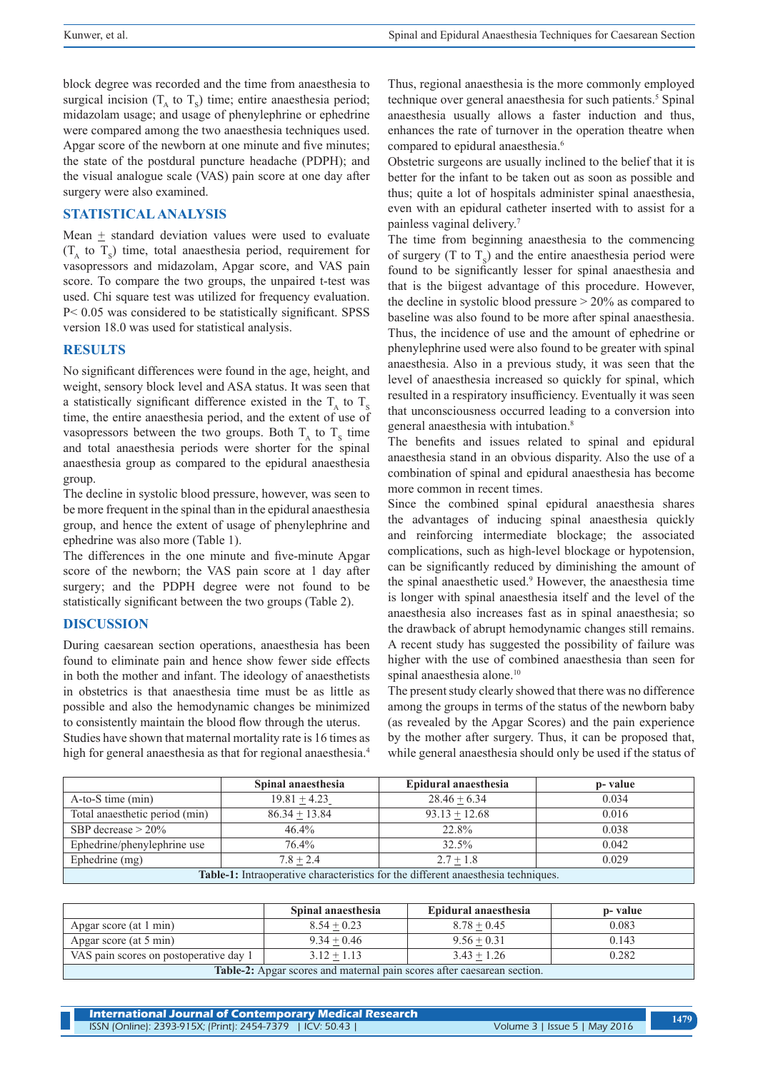block degree was recorded and the time from anaesthesia to surgical incision  $(T_A \text{ to } T_S)$  time; entire anaesthesia period; midazolam usage; and usage of phenylephrine or ephedrine were compared among the two anaesthesia techniques used. Apgar score of the newborn at one minute and five minutes; the state of the postdural puncture headache (PDPH); and the visual analogue scale (VAS) pain score at one day after surgery were also examined.

# **STATISTICAL ANALYSIS**

Mean  $\pm$  standard deviation values were used to evaluate  $(T_A \text{ to } T_S)$  time, total anaesthesia period, requirement for vasopressors and midazolam, Apgar score, and VAS pain score. To compare the two groups, the unpaired t-test was used. Chi square test was utilized for frequency evaluation. P< 0.05 was considered to be statistically significant. SPSS version 18.0 was used for statistical analysis.

#### **RESULTS**

No significant differences were found in the age, height, and weight, sensory block level and ASA status. It was seen that a statistically significant difference existed in the  $T_{\text{A}}$  to  $T_{\text{S}}$ time, the entire anaesthesia period, and the extent of use of vasopressors between the two groups. Both  $T_A$  to  $T_S$  time and total anaesthesia periods were shorter for the spinal anaesthesia group as compared to the epidural anaesthesia group.

The decline in systolic blood pressure, however, was seen to be more frequent in the spinal than in the epidural anaesthesia group, and hence the extent of usage of phenylephrine and ephedrine was also more (Table 1).

The differences in the one minute and five-minute Apgar score of the newborn; the VAS pain score at 1 day after surgery; and the PDPH degree were not found to be statistically significant between the two groups (Table 2).

### **DISCUSSION**

During caesarean section operations, anaesthesia has been found to eliminate pain and hence show fewer side effects in both the mother and infant. The ideology of anaesthetists in obstetrics is that anaesthesia time must be as little as possible and also the hemodynamic changes be minimized to consistently maintain the blood flow through the uterus. Studies have shown that maternal mortality rate is 16 times as

high for general anaesthesia as that for regional anaesthesia.<sup>4</sup>

Thus, regional anaesthesia is the more commonly employed technique over general anaesthesia for such patients.<sup>5</sup> Spinal anaesthesia usually allows a faster induction and thus, enhances the rate of turnover in the operation theatre when compared to epidural anaesthesia.<sup>6</sup>

Obstetric surgeons are usually inclined to the belief that it is better for the infant to be taken out as soon as possible and thus; quite a lot of hospitals administer spinal anaesthesia, even with an epidural catheter inserted with to assist for a painless vaginal delivery.7

The time from beginning anaesthesia to the commencing of surgery (T to  $T_s$ ) and the entire anaesthesia period were found to be significantly lesser for spinal anaesthesia and that is the biigest advantage of this procedure. However, the decline in systolic blood pressure > 20% as compared to baseline was also found to be more after spinal anaesthesia. Thus, the incidence of use and the amount of ephedrine or phenylephrine used were also found to be greater with spinal anaesthesia. Also in a previous study, it was seen that the level of anaesthesia increased so quickly for spinal, which resulted in a respiratory insufficiency. Eventually it was seen that unconsciousness occurred leading to a conversion into general anaesthesia with intubation.8

The benefits and issues related to spinal and epidural anaesthesia stand in an obvious disparity. Also the use of a combination of spinal and epidural anaesthesia has become more common in recent times.

Since the combined spinal epidural anaesthesia shares the advantages of inducing spinal anaesthesia quickly and reinforcing intermediate blockage; the associated complications, such as high-level blockage or hypotension, can be significantly reduced by diminishing the amount of the spinal anaesthetic used.9 However, the anaesthesia time is longer with spinal anaesthesia itself and the level of the anaesthesia also increases fast as in spinal anaesthesia; so the drawback of abrupt hemodynamic changes still remains. A recent study has suggested the possibility of failure was higher with the use of combined anaesthesia than seen for spinal anaesthesia alone.<sup>10</sup>

The present study clearly showed that there was no difference among the groups in terms of the status of the newborn baby (as revealed by the Apgar Scores) and the pain experience by the mother after surgery. Thus, it can be proposed that, while general anaesthesia should only be used if the status of

|                                                                                          | Spinal anaesthesia | Epidural anaesthesia | p- value |  |
|------------------------------------------------------------------------------------------|--------------------|----------------------|----------|--|
| $A-to-S$ time $(min)$                                                                    | $19.81 + 4.23$     | $28.46 + 6.34$       | 0.034    |  |
| Total anaesthetic period (min)                                                           | $86.34 + 13.84$    | $93.13 + 12.68$      | 0.016    |  |
| SBP decrease $> 20\%$                                                                    | $46.4\%$           | 22.8%                | 0.038    |  |
| Ephedrine/phenylephrine use                                                              | 76.4%              | $32.5\%$             | 0.042    |  |
| Ephedrine (mg)                                                                           | $7.8 + 2.4$        | $2.7 + 1.8$          | 0.029    |  |
| <b>Table-1:</b> Intraoperative characteristics for the different anaesthesia techniques. |                    |                      |          |  |

|                                                                         | Spinal anaesthesia | Epidural anaesthesia | p-value |  |
|-------------------------------------------------------------------------|--------------------|----------------------|---------|--|
| Apgar score (at 1 min)                                                  | $8.54 + 0.23$      | $8.78 + 0.45$        | 0.083   |  |
| Apgar score (at 5 min)                                                  | $9.34 + 0.46$      | $9.56 + 0.31$        | 0.143   |  |
| VAS pain scores on postoperative day 1                                  | $3.12 + 1.13$      | $3.43 + 1.26$        | 0.282   |  |
| Table-2: Apgar scores and maternal pain scores after caesarean section. |                    |                      |         |  |